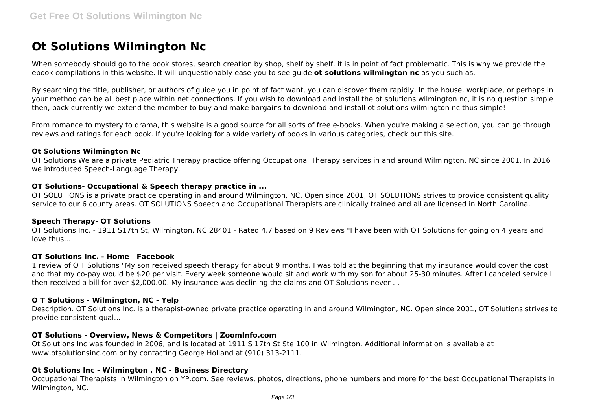# **Ot Solutions Wilmington Nc**

When somebody should go to the book stores, search creation by shop, shelf by shelf, it is in point of fact problematic. This is why we provide the ebook compilations in this website. It will unquestionably ease you to see guide **ot solutions wilmington nc** as you such as.

By searching the title, publisher, or authors of guide you in point of fact want, you can discover them rapidly. In the house, workplace, or perhaps in your method can be all best place within net connections. If you wish to download and install the ot solutions wilmington nc, it is no question simple then, back currently we extend the member to buy and make bargains to download and install ot solutions wilmington nc thus simple!

From romance to mystery to drama, this website is a good source for all sorts of free e-books. When you're making a selection, you can go through reviews and ratings for each book. If you're looking for a wide variety of books in various categories, check out this site.

## **Ot Solutions Wilmington Nc**

OT Solutions We are a private Pediatric Therapy practice offering Occupational Therapy services in and around Wilmington, NC since 2001. In 2016 we introduced Speech-Language Therapy.

## **OT Solutions- Occupational & Speech therapy practice in ...**

OT SOLUTIONS is a private practice operating in and around Wilmington, NC. Open since 2001, OT SOLUTIONS strives to provide consistent quality service to our 6 county areas. OT SOLUTIONS Speech and Occupational Therapists are clinically trained and all are licensed in North Carolina.

## **Speech Therapy- OT Solutions**

OT Solutions Inc. - 1911 S17th St, Wilmington, NC 28401 - Rated 4.7 based on 9 Reviews "I have been with OT Solutions for going on 4 years and love thus...

## **OT Solutions Inc. - Home | Facebook**

1 review of O T Solutions "My son received speech therapy for about 9 months. I was told at the beginning that my insurance would cover the cost and that my co-pay would be \$20 per visit. Every week someone would sit and work with my son for about 25-30 minutes. After I canceled service I then received a bill for over \$2,000.00. My insurance was declining the claims and OT Solutions never ...

## **O T Solutions - Wilmington, NC - Yelp**

Description. OT Solutions Inc. is a therapist-owned private practice operating in and around Wilmington, NC. Open since 2001, OT Solutions strives to provide consistent qual...

## **OT Solutions - Overview, News & Competitors | ZoomInfo.com**

Ot Solutions Inc was founded in 2006, and is located at 1911 S 17th St Ste 100 in Wilmington. Additional information is available at www.otsolutionsinc.com or by contacting George Holland at (910) 313-2111.

## **Ot Solutions Inc - Wilmington , NC - Business Directory**

Occupational Therapists in Wilmington on YP.com. See reviews, photos, directions, phone numbers and more for the best Occupational Therapists in Wilmington, NC.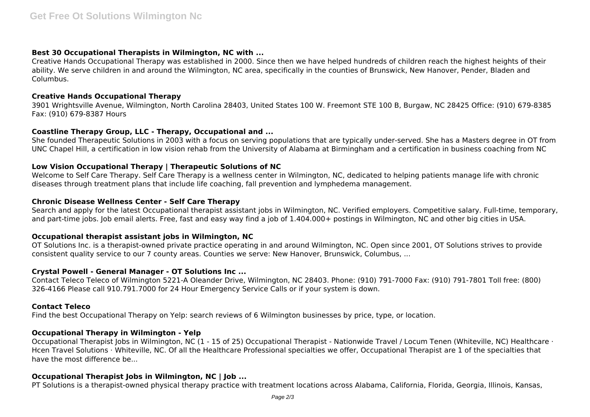## **Best 30 Occupational Therapists in Wilmington, NC with ...**

Creative Hands Occupational Therapy was established in 2000. Since then we have helped hundreds of children reach the highest heights of their ability. We serve children in and around the Wilmington, NC area, specifically in the counties of Brunswick, New Hanover, Pender, Bladen and Columbus.

## **Creative Hands Occupational Therapy**

3901 Wrightsville Avenue, Wilmington, North Carolina 28403, United States 100 W. Freemont STE 100 B, Burgaw, NC 28425 Office: (910) 679-8385 Fax: (910) 679-8387 Hours

## **Coastline Therapy Group, LLC - Therapy, Occupational and ...**

She founded Therapeutic Solutions in 2003 with a focus on serving populations that are typically under-served. She has a Masters degree in OT from UNC Chapel Hill, a certification in low vision rehab from the University of Alabama at Birmingham and a certification in business coaching from NC

## **Low Vision Occupational Therapy | Therapeutic Solutions of NC**

Welcome to Self Care Therapy. Self Care Therapy is a wellness center in Wilmington, NC, dedicated to helping patients manage life with chronic diseases through treatment plans that include life coaching, fall prevention and lymphedema management.

## **Chronic Disease Wellness Center - Self Care Therapy**

Search and apply for the latest Occupational therapist assistant jobs in Wilmington, NC. Verified employers. Competitive salary. Full-time, temporary, and part-time jobs. Job email alerts. Free, fast and easy way find a job of 1.404.000+ postings in Wilmington, NC and other big cities in USA.

## **Occupational therapist assistant jobs in Wilmington, NC**

OT Solutions Inc. is a therapist-owned private practice operating in and around Wilmington, NC. Open since 2001, OT Solutions strives to provide consistent quality service to our 7 county areas. Counties we serve: New Hanover, Brunswick, Columbus, ...

## **Crystal Powell - General Manager - OT Solutions Inc ...**

Contact Teleco Teleco of Wilmington 5221-A Oleander Drive, Wilmington, NC 28403. Phone: (910) 791-7000 Fax: (910) 791-7801 Toll free: (800) 326-4166 Please call 910.791.7000 for 24 Hour Emergency Service Calls or if your system is down.

## **Contact Teleco**

Find the best Occupational Therapy on Yelp: search reviews of 6 Wilmington businesses by price, type, or location.

## **Occupational Therapy in Wilmington - Yelp**

Occupational Therapist Jobs in Wilmington, NC (1 - 15 of 25) Occupational Therapist - Nationwide Travel / Locum Tenen (Whiteville, NC) Healthcare · Hcen Travel Solutions · Whiteville, NC. Of all the Healthcare Professional specialties we offer, Occupational Therapist are 1 of the specialties that have the most difference be...

# **Occupational Therapist Jobs in Wilmington, NC | Job ...**

PT Solutions is a therapist-owned physical therapy practice with treatment locations across Alabama, California, Florida, Georgia, Illinois, Kansas,